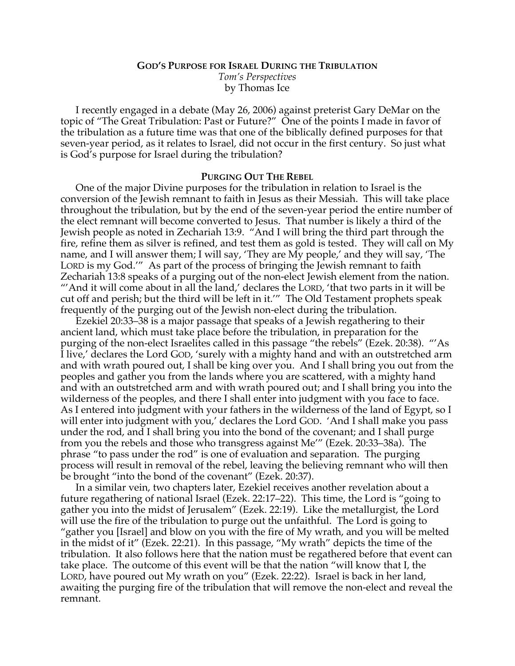# **GOD'S PURPOSE FOR ISRAEL DURING THE TRIBULATION** *Tom's Perspectives* by Thomas Ice

I recently engaged in a debate (May 26, 2006) against preterist Gary DeMar on the topic of "The Great Tribulation: Past or Future?" One of the points I made in favor of the tribulation as a future time was that one of the biblically defined purposes for that seven-year period, as it relates to Israel, did not occur in the first century. So just what is God's purpose for Israel during the tribulation?

#### **PURGING OUT THE REBEL**

One of the major Divine purposes for the tribulation in relation to Israel is the conversion of the Jewish remnant to faith in Jesus as their Messiah. This will take place throughout the tribulation, but by the end of the seven-year period the entire number of the elect remnant will become converted to Jesus. That number is likely a third of the Jewish people as noted in Zechariah 13:9. "And I will bring the third part through the fire, refine them as silver is refined, and test them as gold is tested. They will call on My name, and I will answer them; I will say, 'They are My people,' and they will say, 'The LORD is my God.'" As part of the process of bringing the Jewish remnant to faith Zechariah 13:8 speaks of a purging out of the non-elect Jewish element from the nation. "'And it will come about in all the land,' declares the LORD, 'that two parts in it will be cut off and perish; but the third will be left in it.'" The Old Testament prophets speak frequently of the purging out of the Jewish non-elect during the tribulation.

Ezekiel 20:33–38 is a major passage that speaks of a Jewish regathering to their ancient land, which must take place before the tribulation, in preparation for the purging of the non-elect Israelites called in this passage "the rebels" (Ezek. 20:38). "'As I live,' declares the Lord GOD, 'surely with a mighty hand and with an outstretched arm and with wrath poured out, I shall be king over you. And I shall bring you out from the peoples and gather you from the lands where you are scattered, with a mighty hand and with an outstretched arm and with wrath poured out; and I shall bring you into the wilderness of the peoples, and there I shall enter into judgment with you face to face. As I entered into judgment with your fathers in the wilderness of the land of Egypt, so I will enter into judgment with you,' declares the Lord GOD. 'And I shall make you pass under the rod, and I shall bring you into the bond of the covenant; and I shall purge from you the rebels and those who transgress against Me'" (Ezek. 20:33–38a). The phrase "to pass under the rod" is one of evaluation and separation. The purging process will result in removal of the rebel, leaving the believing remnant who will then be brought "into the bond of the covenant" (Ezek. 20:37).

In a similar vein, two chapters later, Ezekiel receives another revelation about a future regathering of national Israel (Ezek. 22:17–22). This time, the Lord is "going to gather you into the midst of Jerusalem" (Ezek. 22:19). Like the metallurgist, the Lord will use the fire of the tribulation to purge out the unfaithful. The Lord is going to "gather you [Israel] and blow on you with the fire of My wrath, and you will be melted in the midst of it" (Ezek. 22:21). In this passage, "My wrath" depicts the time of the tribulation. It also follows here that the nation must be regathered before that event can take place. The outcome of this event will be that the nation "will know that I, the LORD, have poured out My wrath on you" (Ezek. 22:22). Israel is back in her land, awaiting the purging fire of the tribulation that will remove the non-elect and reveal the remnant.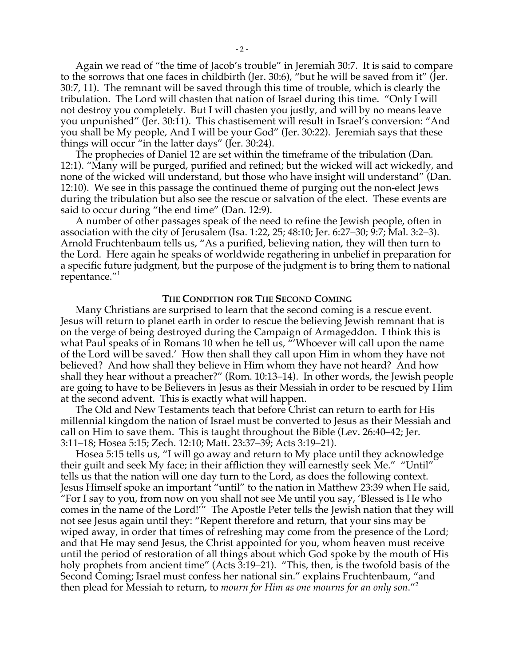Again we read of "the time of Jacob's trouble" in Jeremiah 30:7. It is said to compare to the sorrows that one faces in childbirth (Jer. 30:6), "but he will be saved from it" (Jer. 30:7, 11). The remnant will be saved through this time of trouble, which is clearly the tribulation. The Lord will chasten that nation of Israel during this time. "Only I will not destroy you completely. But I will chasten you justly, and will by no means leave you unpunished" (Jer. 30:11). This chastisement will result in Israel's conversion: "And you shall be My people, And I will be your God" (Jer. 30:22). Jeremiah says that these things will occur "in the latter days" (Jer. 30:24).

The prophecies of Daniel 12 are set within the timeframe of the tribulation (Dan. 12:1). "Many will be purged, purified and refined; but the wicked will act wickedly, and none of the wicked will understand, but those who have insight will understand" (Dan. 12:10). We see in this passage the continued theme of purging out the non-elect Jews during the tribulation but also see the rescue or salvation of the elect. These events are said to occur during "the end time" (Dan. 12:9).

A number of other passages speak of the need to refine the Jewish people, often in association with the city of Jerusalem (Isa. 1:22, 25; 48:10; Jer. 6:27–30; 9:7; Mal. 3:2–3). Arnold Fruchtenbaum tells us, "As a purified, believing nation, they will then turn to the Lord. Here again he speaks of worldwide regathering in unbelief in preparation for a specific future judgment, but the purpose of the judgment is to bring them to national repentance."<sup>1</sup>

#### **THE CONDITION FOR THE SECOND COMING**

Many Christians are surprised to learn that the second coming is a rescue event. Jesus will return to planet earth in order to rescue the believing Jewish remnant that is on the verge of being destroyed during the Campaign of Armageddon. I think this is what Paul speaks of in Romans 10 when he tell us, "'Whoever will call upon the name of the Lord will be saved.' How then shall they call upon Him in whom they have not believed? And how shall they believe in Him whom they have not heard? And how shall they hear without a preacher?" (Rom. 10:13–14). In other words, the Jewish people are going to have to be Believers in Jesus as their Messiah in order to be rescued by Him at the second advent. This is exactly what will happen.

The Old and New Testaments teach that before Christ can return to earth for His millennial kingdom the nation of Israel must be converted to Jesus as their Messiah and call on Him to save them. This is taught throughout the Bible (Lev. 26:40–42; Jer. 3:11–18; Hosea 5:15; Zech. 12:10; Matt. 23:37–39; Acts 3:19–21).

Hosea 5:15 tells us, "I will go away and return to My place until they acknowledge their guilt and seek My face; in their affliction they will earnestly seek Me." "Until" tells us that the nation will one day turn to the Lord, as does the following context. Jesus Himself spoke an important "until" to the nation in Matthew 23:39 when He said, "For I say to you, from now on you shall not see Me until you say, 'Blessed is He who comes in the name of the Lord!'" The Apostle Peter tells the Jewish nation that they will not see Jesus again until they: "Repent therefore and return, that your sins may be wiped away, in order that times of refreshing may come from the presence of the Lord; and that He may send Jesus, the Christ appointed for you, whom heaven must receive until the period of restoration of all things about which God spoke by the mouth of His holy prophets from ancient time" (Acts 3:19–21). "This, then, is the twofold basis of the Second Coming; Israel must confess her national sin." explains Fruchtenbaum, "and then plead for Messiah to return, to *mourn for Him as one mourns for an only son*."<sup>2</sup>